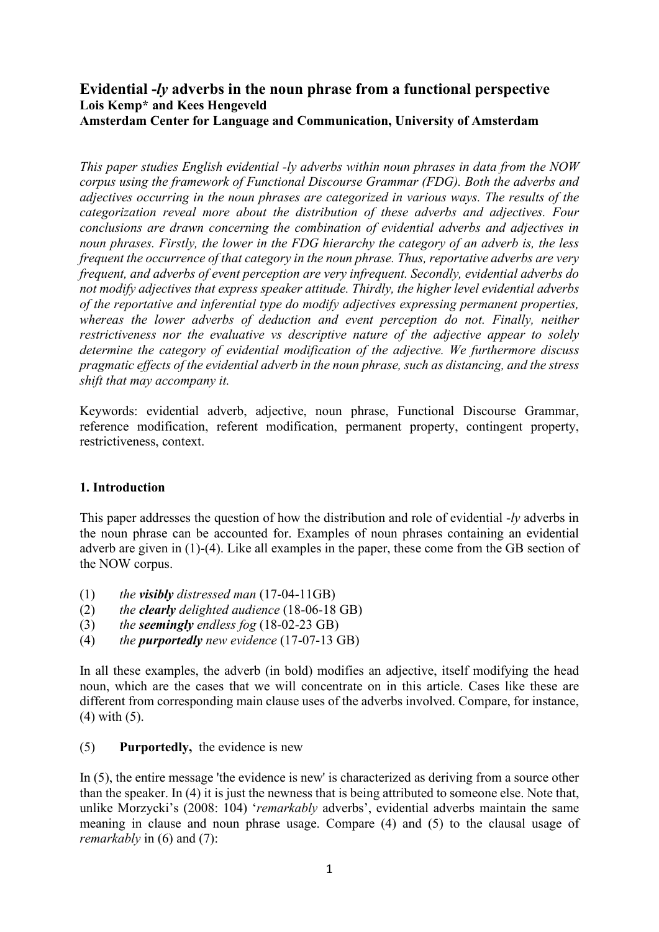# **Evidential -***ly* **adverbs in the noun phrase from a functional perspective Lois Kemp\* and Kees Hengeveld Amsterdam Center for Language and Communication, University of Amsterdam**

*This paper studies English evidential -ly adverbs within noun phrases in data from the NOW corpus using the framework of Functional Discourse Grammar (FDG). Both the adverbs and adjectives occurring in the noun phrases are categorized in various ways. The results of the categorization reveal more about the distribution of these adverbs and adjectives. Four conclusions are drawn concerning the combination of evidential adverbs and adjectives in noun phrases. Firstly, the lower in the FDG hierarchy the category of an adverb is, the less frequent the occurrence of that category in the noun phrase. Thus, reportative adverbs are very frequent, and adverbs of event perception are very infrequent. Secondly, evidential adverbs do not modify adjectives that express speaker attitude. Thirdly, the higher level evidential adverbs of the reportative and inferential type do modify adjectives expressing permanent properties,*  whereas the lower adverbs of deduction and event perception do not. Finally, neither *restrictiveness nor the evaluative vs descriptive nature of the adjective appear to solely determine the category of evidential modification of the adjective. We furthermore discuss pragmatic effects of the evidential adverb in the noun phrase, such as distancing, and the stress shift that may accompany it.* 

Keywords: evidential adverb, adjective, noun phrase, Functional Discourse Grammar, reference modification, referent modification, permanent property, contingent property, restrictiveness, context.

# **1. Introduction**

This paper addresses the question of how the distribution and role of evidential -*ly* adverbs in the noun phrase can be accounted for. Examples of noun phrases containing an evidential adverb are given in (1)-(4). Like all examples in the paper, these come from the GB section of the NOW corpus.

- (1) *the visibly distressed man* (17-04-11GB)
- (2) *the clearly delighted audience* (18-06-18 GB)
- (3) *the seemingly endless fog* (18-02-23 GB)
- (4) *the purportedly new evidence* (17-07-13 GB)

In all these examples, the adverb (in bold) modifies an adjective, itself modifying the head noun, which are the cases that we will concentrate on in this article. Cases like these are different from corresponding main clause uses of the adverbs involved. Compare, for instance, (4) with (5).

# (5) **Purportedly,** the evidence is new

In (5), the entire message 'the evidence is new' is characterized as deriving from a source other than the speaker. In (4) it is just the newness that is being attributed to someone else. Note that, unlike Morzycki's (2008: 104) '*remarkably* adverbs', evidential adverbs maintain the same meaning in clause and noun phrase usage. Compare (4) and (5) to the clausal usage of *remarkably* in (6) and (7):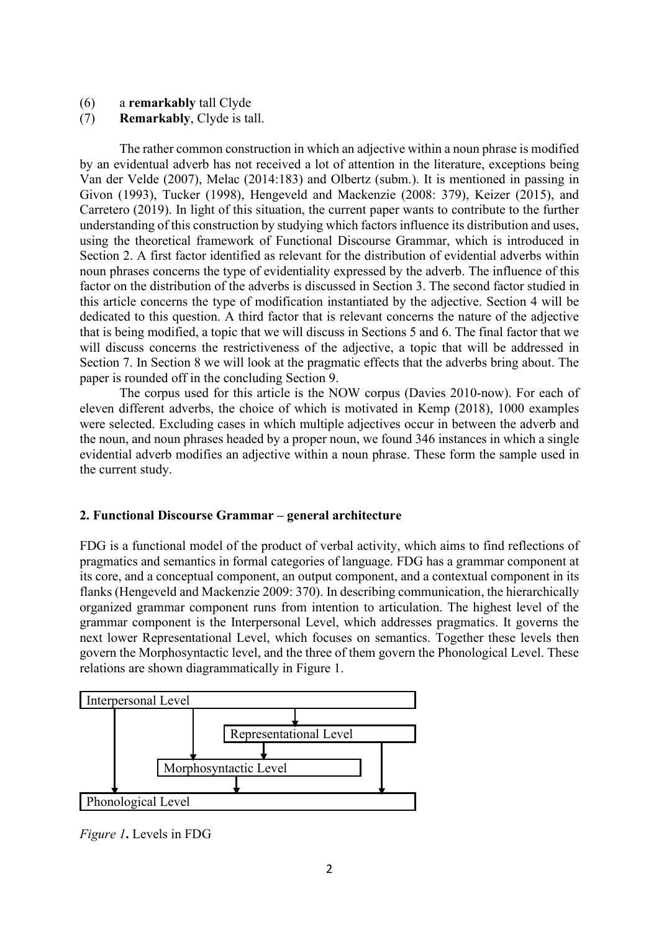- (6) a **remarkably** tall Clyde
- (7) **Remarkably**, Clyde is tall.

The rather common construction in which an adjective within a noun phrase is modified by an evidentual adverb has not received a lot of attention in the literature, exceptions being Van der Velde (2007), Melac (2014:183) and Olbertz (subm.). It is mentioned in passing in Givon (1993), Tucker (1998), Hengeveld and Mackenzie (2008: 379), Keizer (2015), and Carretero (2019). In light of this situation, the current paper wants to contribute to the further understanding of this construction by studying which factors influence its distribution and uses, using the theoretical framework of Functional Discourse Grammar, which is introduced in Section 2. A first factor identified as relevant for the distribution of evidential adverbs within noun phrases concerns the type of evidentiality expressed by the adverb. The influence of this factor on the distribution of the adverbs is discussed in Section 3. The second factor studied in this article concerns the type of modification instantiated by the adjective. Section 4 will be dedicated to this question. A third factor that is relevant concerns the nature of the adjective that is being modified, a topic that we will discuss in Sections 5 and 6. The final factor that we will discuss concerns the restrictiveness of the adjective, a topic that will be addressed in Section 7. In Section 8 we will look at the pragmatic effects that the adverbs bring about. The paper is rounded off in the concluding Section 9.

The corpus used for this article is the NOW corpus (Davies 2010-now). For each of eleven different adverbs, the choice of which is motivated in Kemp (2018), 1000 examples were selected. Excluding cases in which multiple adjectives occur in between the adverb and the noun, and noun phrases headed by a proper noun, we found 346 instances in which a single evidential adverb modifies an adjective within a noun phrase. These form the sample used in the current study.

#### **2. Functional Discourse Grammar – general architecture**

FDG is a functional model of the product of verbal activity, which aims to find reflections of pragmatics and semantics in formal categories of language. FDG has a grammar component at its core, and a conceptual component, an output component, and a contextual component in its flanks (Hengeveld and Mackenzie 2009: 370). In describing communication, the hierarchically organized grammar component runs from intention to articulation. The highest level of the grammar component is the Interpersonal Level, which addresses pragmatics. It governs the next lower Representational Level, which focuses on semantics. Together these levels then govern the Morphosyntactic level, and the three of them govern the Phonological Level. These relations are shown diagrammatically in Figure 1.



*Figure 1***.** Levels in FDG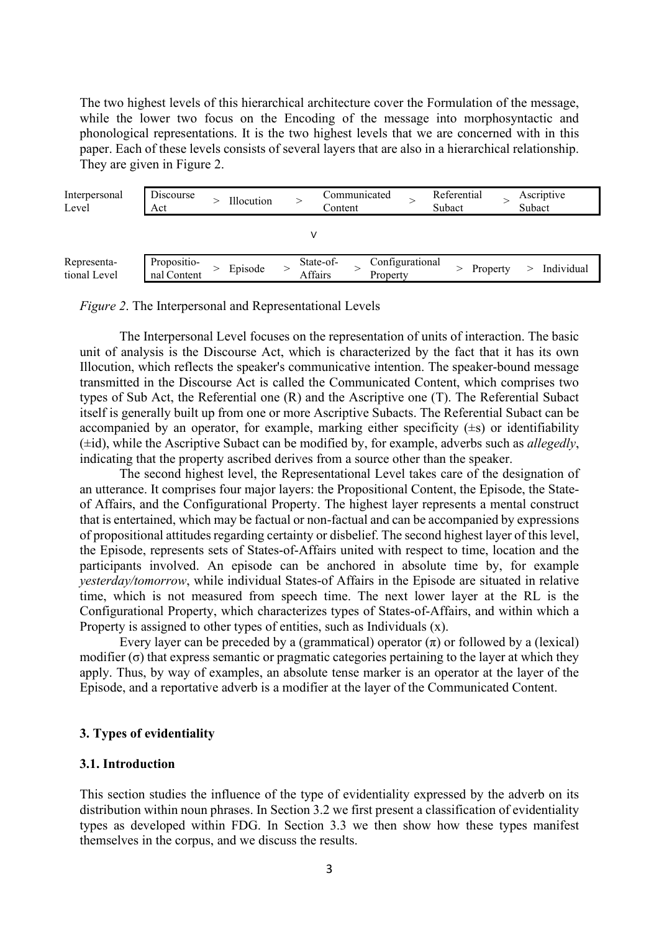The two highest levels of this hierarchical architecture cover the Formulation of the message, while the lower two focus on the Encoding of the message into morphosyntactic and phonological representations. It is the two highest levels that we are concerned with in this paper. Each of these levels consists of several layers that are also in a hierarchical relationship. They are given in Figure 2.

| Interpersonal<br>Level      | Discourse<br>Act           | Illocution |                      | Communicated<br>Content |                             | Referential<br>Subact |          | Subact | Ascriptive |
|-----------------------------|----------------------------|------------|----------------------|-------------------------|-----------------------------|-----------------------|----------|--------|------------|
|                             |                            |            |                      |                         |                             |                       |          |        |            |
| Representa-<br>tional Level | Propositio-<br>nal Content | Episode    | State-of-<br>Affairs |                         | Configurational<br>Property |                       | Property |        | Individual |

*Figure 2*. The Interpersonal and Representational Levels

The Interpersonal Level focuses on the representation of units of interaction. The basic unit of analysis is the Discourse Act, which is characterized by the fact that it has its own Illocution, which reflects the speaker's communicative intention. The speaker-bound message transmitted in the Discourse Act is called the Communicated Content, which comprises two types of Sub Act, the Referential one (R) and the Ascriptive one (T). The Referential Subact itself is generally built up from one or more Ascriptive Subacts. The Referential Subact can be accompanied by an operator, for example, marking either specificity  $(\pm s)$  or identifiability (±id), while the Ascriptive Subact can be modified by, for example, adverbs such as *allegedly*, indicating that the property ascribed derives from a source other than the speaker.

The second highest level, the Representational Level takes care of the designation of an utterance. It comprises four major layers: the Propositional Content, the Episode, the Stateof Affairs, and the Configurational Property. The highest layer represents a mental construct that is entertained, which may be factual or non-factual and can be accompanied by expressions of propositional attitudes regarding certainty or disbelief. The second highest layer of this level, the Episode, represents sets of States-of-Affairs united with respect to time, location and the participants involved. An episode can be anchored in absolute time by, for example *yesterday/tomorrow*, while individual States-of Affairs in the Episode are situated in relative time, which is not measured from speech time. The next lower layer at the RL is the Configurational Property, which characterizes types of States-of-Affairs, and within which a Property is assigned to other types of entities, such as Individuals (x).

Every layer can be preceded by a (grammatical) operator  $(\pi)$  or followed by a (lexical) modifier  $(\sigma)$  that express semantic or pragmatic categories pertaining to the layer at which they apply. Thus, by way of examples, an absolute tense marker is an operator at the layer of the Episode, and a reportative adverb is a modifier at the layer of the Communicated Content.

#### **3. Types of evidentiality**

#### **3.1. Introduction**

This section studies the influence of the type of evidentiality expressed by the adverb on its distribution within noun phrases. In Section 3.2 we first present a classification of evidentiality types as developed within FDG. In Section 3.3 we then show how these types manifest themselves in the corpus, and we discuss the results.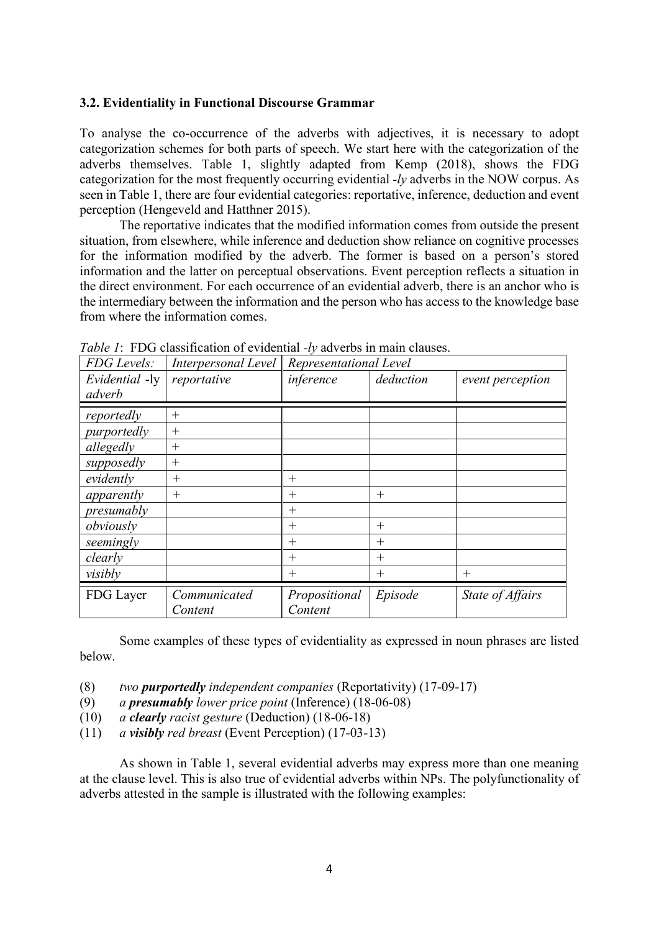#### **3.2. Evidentiality in Functional Discourse Grammar**

To analyse the co-occurrence of the adverbs with adjectives, it is necessary to adopt categorization schemes for both parts of speech. We start here with the categorization of the adverbs themselves. Table 1, slightly adapted from Kemp (2018), shows the FDG categorization for the most frequently occurring evidential *-ly* adverbs in the NOW corpus. As seen in Table 1, there are four evidential categories: reportative, inference, deduction and event perception (Hengeveld and Hatthner 2015).

The reportative indicates that the modified information comes from outside the present situation, from elsewhere, while inference and deduction show reliance on cognitive processes for the information modified by the adverb. The former is based on a person's stored information and the latter on perceptual observations. Event perception reflects a situation in the direct environment. For each occurrence of an evidential adverb, there is an anchor who is the intermediary between the information and the person who has access to the knowledge base from where the information comes.

| FDG Levels:    | Interpersonal Level     | Representational Level   |           |                  |  |  |
|----------------|-------------------------|--------------------------|-----------|------------------|--|--|
| Evidential -ly | reportative             | inference                | deduction | event perception |  |  |
| adverb         |                         |                          |           |                  |  |  |
| reportedly     | $^{+}$                  |                          |           |                  |  |  |
| purportedly    | $^{+}$                  |                          |           |                  |  |  |
| allegedly      | $^{+}$                  |                          |           |                  |  |  |
| supposedly     | $^{+}$                  |                          |           |                  |  |  |
| evidently      | $^{+}$                  | $^{+}$                   |           |                  |  |  |
| apparently     | $^{+}$                  | $^{+}$                   | $^{+}$    |                  |  |  |
| presumably     |                         | $^{+}$                   |           |                  |  |  |
| obviously      |                         | $^{+}$                   | $^{+}$    |                  |  |  |
| seemingly      |                         | $^{+}$                   | $^{+}$    |                  |  |  |
| clearly        |                         | $^{+}$                   | $^{+}$    |                  |  |  |
| visibly        |                         | $^{+}$                   | $^{+}$    | $^{+}$           |  |  |
| FDG Layer      | Communicated<br>Content | Propositional<br>Content | Episode   | State of Affairs |  |  |

*Table 1*: FDG classification of evidential *-ly* adverbs in main clauses.

Some examples of these types of evidentiality as expressed in noun phrases are listed below.

(8) *two purportedly independent companies* (Reportativity) (17-09-17)

- (9) *a presumably lower price point* (Inference) (18-06-08)
- (10) *a clearly racist gesture* (Deduction) (18-06-18)
- (11) *a visibly red breast* (Event Perception) (17-03-13)

As shown in Table 1, several evidential adverbs may express more than one meaning at the clause level. This is also true of evidential adverbs within NPs. The polyfunctionality of adverbs attested in the sample is illustrated with the following examples: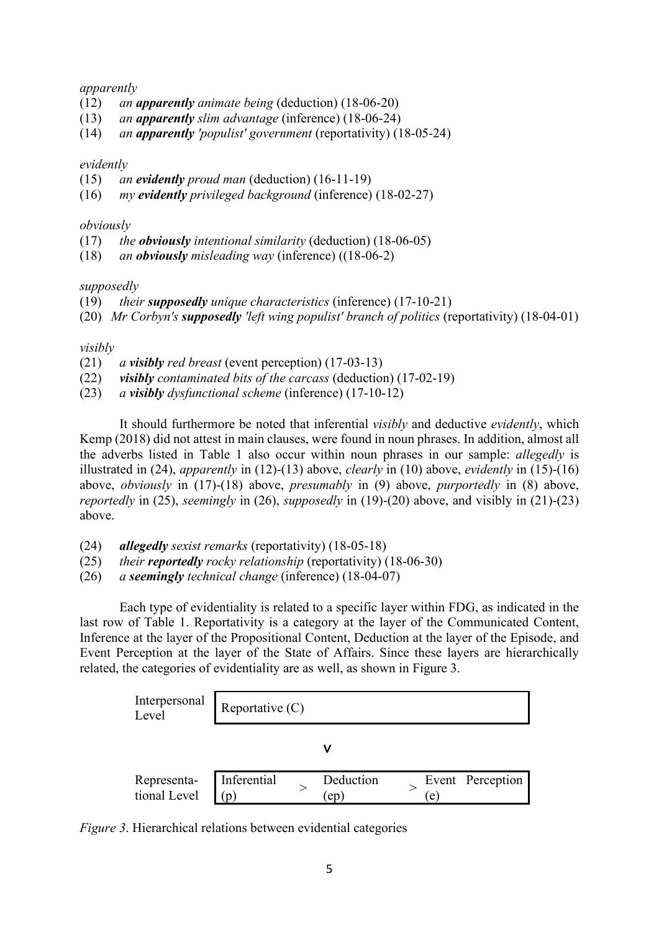#### *apparently*

- (12) *an apparently animate being* (deduction) (18-06-20)
- (13) *an apparently slim advantage* (inference) (18-06-24)
- (14) *an apparently 'populist' government* (reportativity) (18-05-24)

## *evidently*

- (15) *an evidently proud man* (deduction) (16-11-19)
- (16) *my evidently privileged background* (inference) (18-02-27)

## *obviously*

- (17) *the obviously intentional similarity* (deduction) (18-06-05)
- (18) *an obviously misleading way* (inference) ((18-06-2)

## *supposedly*

- (19) *their supposedly unique characteristics* (inference) (17-10-21)
- (20) *Mr Corbyn's supposedly 'left wing populist' branch of politics* (reportativity) (18-04-01)

## *visibly*

- (21) *a visibly red breast* (event perception) (17-03-13)
- (22) *visibly contaminated bits of the carcass* (deduction) (17-02-19)
- (23) *a visibly dysfunctional scheme* (inference) (17-10-12)

It should furthermore be noted that inferential *visibly* and deductive *evidently*, which Kemp (2018) did not attest in main clauses, were found in noun phrases. In addition, almost all the adverbs listed in Table 1 also occur within noun phrases in our sample: *allegedly* is illustrated in (24), *apparently* in (12)-(13) above, *clearly* in (10) above, *evidently* in (15)-(16) above, *obviously* in (17)-(18) above, *presumably* in (9) above, *purportedly* in (8) above, *reportedly* in (25), *seemingly* in (26), *supposedly* in (19)-(20) above, and visibly in (21)-(23) above.

- (24) *allegedly sexist remarks* (reportativity) (18-05-18)
- (25) *their reportedly rocky relationship* (reportativity) (18-06-30)
- (26) *a seemingly technical change* (inference) (18-04-07)

Each type of evidentiality is related to a specific layer within FDG, as indicated in the last row of Table 1. Reportativity is a category at the layer of the Communicated Content, Inference at the layer of the Propositional Content, Deduction at the layer of the Episode, and Event Perception at the layer of the State of Affairs. Since these layers are hierarchically related, the categories of evidentiality are as well, as shown in Figure 3.



*Figure 3*. Hierarchical relations between evidential categories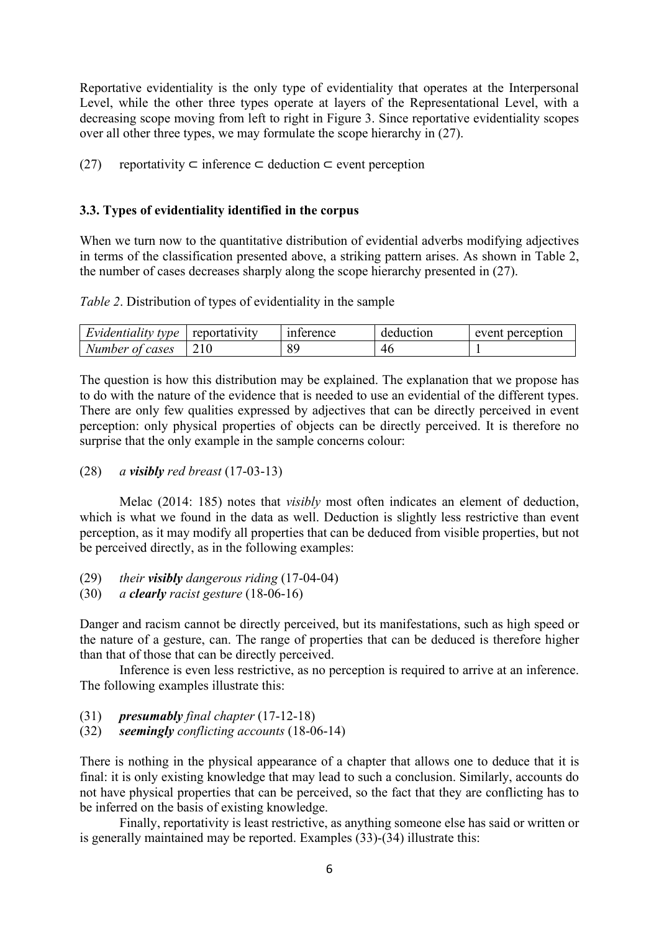Reportative evidentiality is the only type of evidentiality that operates at the Interpersonal Level, while the other three types operate at layers of the Representational Level, with a decreasing scope moving from left to right in Figure 3. Since reportative evidentiality scopes over all other three types, we may formulate the scope hierarchy in (27).

(27) reportativity  $\subset$  inference  $\subset$  deduction  $\subset$  event perception

#### **3.3. Types of evidentiality identified in the corpus**

When we turn now to the quantitative distribution of evidential adverbs modifying adjectives in terms of the classification presented above, a striking pattern arises. As shown in Table 2, the number of cases decreases sharply along the scope hierarchy presented in (27).

*Table 2*. Distribution of types of evidentiality in the sample

| Evidentiality type | reportativity | interence | deduction | event perception |
|--------------------|---------------|-----------|-----------|------------------|
| Number of cases    |               | 89        | 40        |                  |

The question is how this distribution may be explained. The explanation that we propose has to do with the nature of the evidence that is needed to use an evidential of the different types. There are only few qualities expressed by adjectives that can be directly perceived in event perception: only physical properties of objects can be directly perceived. It is therefore no surprise that the only example in the sample concerns colour:

(28) *a visibly red breast* (17-03-13)

Melac (2014: 185) notes that *visibly* most often indicates an element of deduction, which is what we found in the data as well. Deduction is slightly less restrictive than event perception, as it may modify all properties that can be deduced from visible properties, but not be perceived directly, as in the following examples:

- (29) *their visibly dangerous riding* (17-04-04)
- (30) *a clearly racist gesture* (18-06-16)

Danger and racism cannot be directly perceived, but its manifestations, such as high speed or the nature of a gesture, can. The range of properties that can be deduced is therefore higher than that of those that can be directly perceived.

Inference is even less restrictive, as no perception is required to arrive at an inference. The following examples illustrate this:

- (31) *presumably final chapter* (17-12-18)
- (32) *seemingly conflicting accounts* (18-06-14)

There is nothing in the physical appearance of a chapter that allows one to deduce that it is final: it is only existing knowledge that may lead to such a conclusion. Similarly, accounts do not have physical properties that can be perceived, so the fact that they are conflicting has to be inferred on the basis of existing knowledge.

Finally, reportativity is least restrictive, as anything someone else has said or written or is generally maintained may be reported. Examples (33)-(34) illustrate this: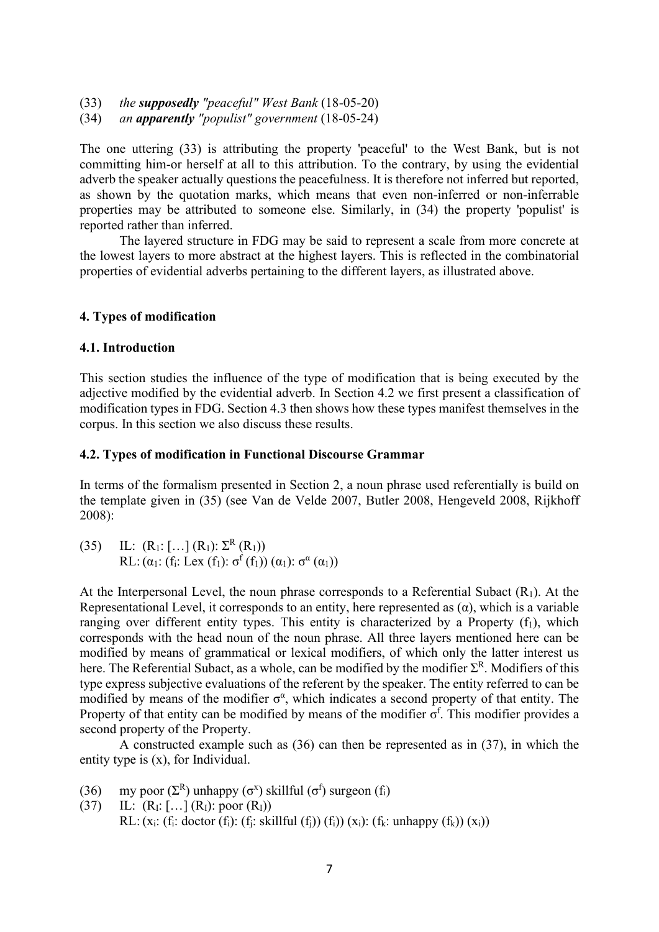- (33) *the supposedly "peaceful" West Bank* (18-05-20)
- (34) *an apparently "populist" government* (18-05-24)

The one uttering (33) is attributing the property 'peaceful' to the West Bank, but is not committing him-or herself at all to this attribution. To the contrary, by using the evidential adverb the speaker actually questions the peacefulness. It is therefore not inferred but reported, as shown by the quotation marks, which means that even non-inferred or non-inferrable properties may be attributed to someone else. Similarly, in (34) the property 'populist' is reported rather than inferred.

The layered structure in FDG may be said to represent a scale from more concrete at the lowest layers to more abstract at the highest layers. This is reflected in the combinatorial properties of evidential adverbs pertaining to the different layers, as illustrated above.

#### **4. Types of modification**

#### **4.1. Introduction**

This section studies the influence of the type of modification that is being executed by the adjective modified by the evidential adverb. In Section 4.2 we first present a classification of modification types in FDG. Section 4.3 then shows how these types manifest themselves in the corpus. In this section we also discuss these results.

#### **4.2. Types of modification in Functional Discourse Grammar**

In terms of the formalism presented in Section 2, a noun phrase used referentially is build on the template given in (35) (see Van de Velde 2007, Butler 2008, Hengeveld 2008, Rijkhoff 2008):

(35) IL:  $(R_1: [\dots] (R_1): \Sigma^R (R_1))$ RL:  $(\alpha_1: (f_i: Lex (f_1): \sigma^f(f_1)) (\alpha_1): \sigma^{\alpha}(\alpha_1))$ 

At the Interpersonal Level, the noun phrase corresponds to a Referential Subact  $(R<sub>1</sub>)$ . At the Representational Level, it corresponds to an entity, here represented as  $(\alpha)$ , which is a variable ranging over different entity types. This entity is characterized by a Property  $(f_1)$ , which corresponds with the head noun of the noun phrase. All three layers mentioned here can be modified by means of grammatical or lexical modifiers, of which only the latter interest us here. The Referential Subact, as a whole, can be modified by the modifier  $\Sigma^R$ . Modifiers of this type express subjective evaluations of the referent by the speaker. The entity referred to can be modified by means of the modifier  $\sigma^{\alpha}$ , which indicates a second property of that entity. The Property of that entity can be modified by means of the modifier  $\sigma^f$ . This modifier provides a second property of the Property.

A constructed example such as (36) can then be represented as in (37), in which the entity type is (x), for Individual.

- (36) my poor  $(\Sigma^R)$  unhappy  $(\sigma^x)$  skillful  $(\sigma^f)$  surgeon  $(f_i)$
- (37) IL:  $(R_I: [\ldots] (R_I): \text{poor } (R_I))$ RL:  $(x_i: (f_i: doctor (f_i): (f_i: skillful (f_i)) (f_i)) (x_i): (f_k: unhappy (f_k)) (x_i))$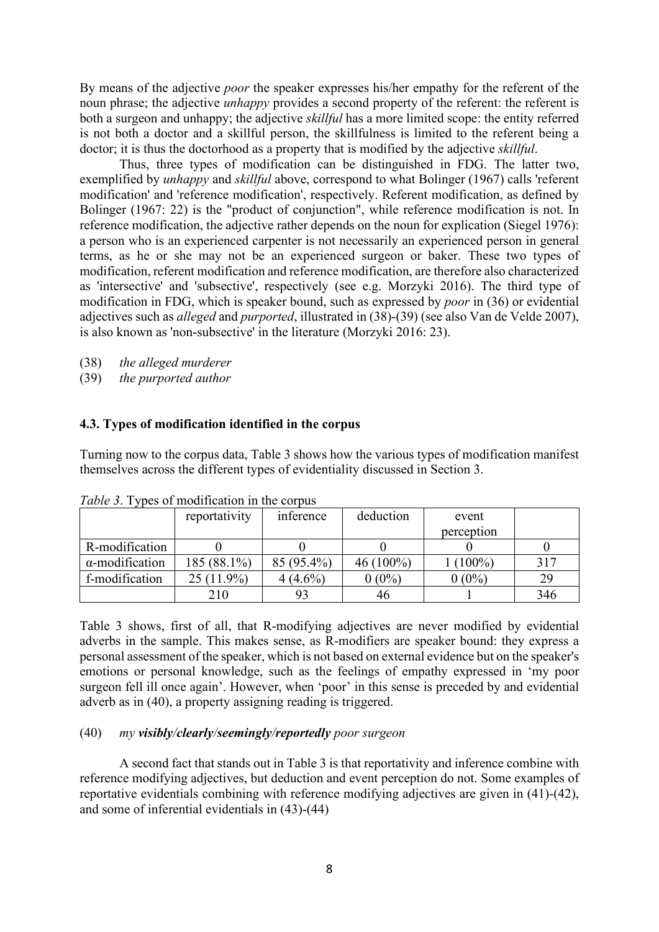By means of the adjective *poor* the speaker expresses his/her empathy for the referent of the noun phrase; the adjective *unhappy* provides a second property of the referent: the referent is both a surgeon and unhappy; the adjective *skillful* has a more limited scope: the entity referred is not both a doctor and a skillful person, the skillfulness is limited to the referent being a doctor; it is thus the doctorhood as a property that is modified by the adjective *skillful*.

Thus, three types of modification can be distinguished in FDG. The latter two, exemplified by *unhappy* and *skillful* above, correspond to what Bolinger (1967) calls 'referent modification' and 'reference modification', respectively. Referent modification, as defined by Bolinger (1967: 22) is the "product of conjunction", while reference modification is not. In reference modification, the adjective rather depends on the noun for explication (Siegel 1976): a person who is an experienced carpenter is not necessarily an experienced person in general terms, as he or she may not be an experienced surgeon or baker. These two types of modification, referent modification and reference modification, are therefore also characterized as 'intersective' and 'subsective', respectively (see e.g. Morzyki 2016). The third type of modification in FDG, which is speaker bound, such as expressed by *poor* in (36) or evidential adjectives such as *alleged* and *purported*, illustrated in (38)-(39) (see also Van de Velde 2007), is also known as 'non-subsective' in the literature (Morzyki 2016: 23).

(38) *the alleged murderer*

(39) *the purported author*

#### **4.3. Types of modification identified in the corpus**

Turning now to the corpus data, Table 3 shows how the various types of modification manifest themselves across the different types of evidentiality discussed in Section 3.

|                        | reportativity | inference  | deduction   | event      |     |
|------------------------|---------------|------------|-------------|------------|-----|
|                        |               |            |             | perception |     |
| R-modification         |               |            |             |            |     |
| $\alpha$ -modification | 185 (88.1%)   | 85 (95.4%) | $46(100\%)$ | $(100\%)$  | 317 |
| f-modification         | $25(11.9\%)$  | $(4.6\%)$  | $0(0\%)$    | $0(0\%)$   | 29  |
|                        | 210           |            | 46          |            | 346 |

*Table 3*. Types of modification in the corpus

Table 3 shows, first of all, that R-modifying adjectives are never modified by evidential adverbs in the sample. This makes sense, as R-modifiers are speaker bound: they express a personal assessment of the speaker, which is not based on external evidence but on the speaker's emotions or personal knowledge, such as the feelings of empathy expressed in 'my poor surgeon fell ill once again'. However, when 'poor' in this sense is preceded by and evidential adverb as in (40), a property assigning reading is triggered.

#### (40) *my visibly/clearly/seemingly/reportedly poor surgeon*

A second fact that stands out in Table 3 is that reportativity and inference combine with reference modifying adjectives, but deduction and event perception do not. Some examples of reportative evidentials combining with reference modifying adjectives are given in (41)-(42), and some of inferential evidentials in (43)-(44)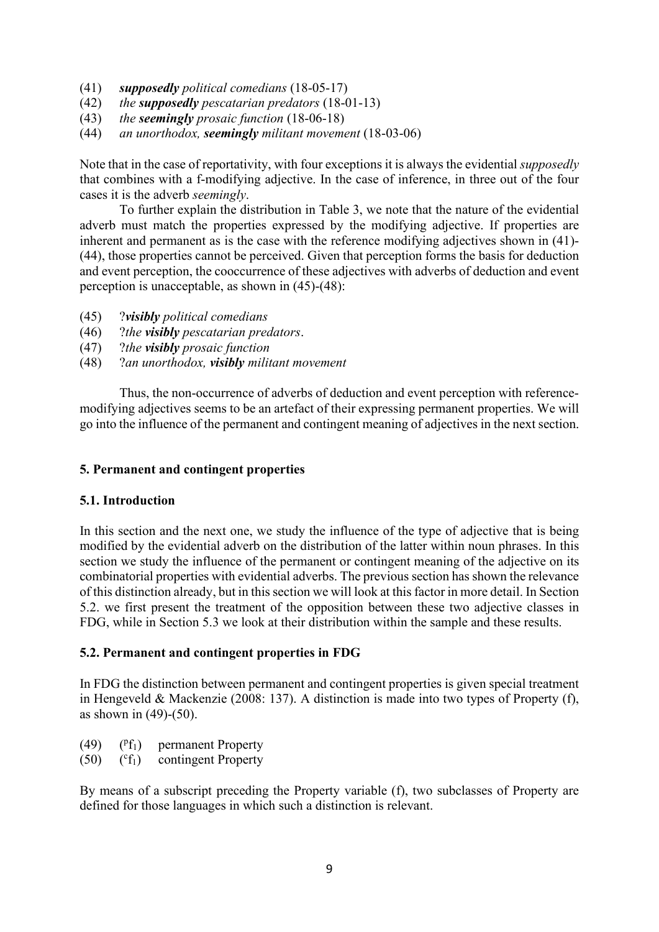- (41) *supposedly political comedians* (18-05-17)
- (42) *the supposedly pescatarian predators* (18-01-13)
- (43) *the seemingly prosaic function* (18-06-18)
- (44) *an unorthodox, seemingly militant movement* (18-03-06)

Note that in the case of reportativity, with four exceptions it is always the evidential *supposedly*  that combines with a f-modifying adjective. In the case of inference, in three out of the four cases it is the adverb *seemingly*.

To further explain the distribution in Table 3, we note that the nature of the evidential adverb must match the properties expressed by the modifying adjective. If properties are inherent and permanent as is the case with the reference modifying adjectives shown in (41)- (44), those properties cannot be perceived. Given that perception forms the basis for deduction and event perception, the cooccurrence of these adjectives with adverbs of deduction and event perception is unacceptable, as shown in (45)-(48):

- (45) ?*visibly political comedians*
- (46) ?*the visibly pescatarian predators*.
- (47) ?*the visibly prosaic function*
- (48) ?*an unorthodox, visibly militant movement*

Thus, the non-occurrence of adverbs of deduction and event perception with referencemodifying adjectives seems to be an artefact of their expressing permanent properties. We will go into the influence of the permanent and contingent meaning of adjectives in the next section.

## **5. Permanent and contingent properties**

#### **5.1. Introduction**

In this section and the next one, we study the influence of the type of adjective that is being modified by the evidential adverb on the distribution of the latter within noun phrases. In this section we study the influence of the permanent or contingent meaning of the adjective on its combinatorial properties with evidential adverbs. The previous section has shown the relevance of this distinction already, but in this section we will look at this factor in more detail. In Section 5.2. we first present the treatment of the opposition between these two adjective classes in FDG, while in Section 5.3 we look at their distribution within the sample and these results.

# **5.2. Permanent and contingent properties in FDG**

In FDG the distinction between permanent and contingent properties is given special treatment in Hengeveld & Mackenzie (2008: 137). A distinction is made into two types of Property (f), as shown in (49)-(50).

- $(49)$  $(Pf_1)$ permanent Property
- $(50)$  $({}^{\rm c}f_1)$ contingent Property

By means of a subscript preceding the Property variable (f), two subclasses of Property are defined for those languages in which such a distinction is relevant.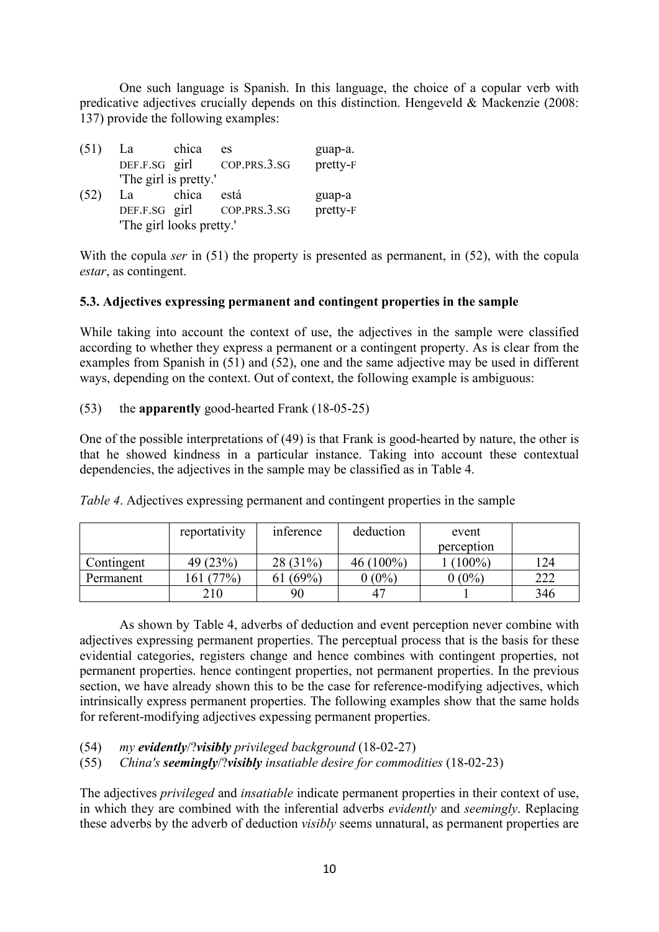One such language is Spanish. In this language, the choice of a copular verb with predicative adjectives crucially depends on this distinction. Hengeveld & Mackenzie (2008: 137) provide the following examples:

| (51) | La                       | chica | es                         | guap-a.  |
|------|--------------------------|-------|----------------------------|----------|
|      | DEF.F.SG girl            |       | COP.PRS.3.SG               | pretty-F |
|      | 'The girl is pretty.'    |       |                            |          |
| (52) | La                       | chica | está                       | guap-a   |
|      |                          |       | DEF.F.SG girl COP.PRS.3.SG | pretty-F |
|      | 'The girl looks pretty.' |       |                            |          |

With the copula *ser* in (51) the property is presented as permanent, in (52), with the copula *estar*, as contingent.

## **5.3. Adjectives expressing permanent and contingent properties in the sample**

While taking into account the context of use, the adjectives in the sample were classified according to whether they express a permanent or a contingent property. As is clear from the examples from Spanish in (51) and (52), one and the same adjective may be used in different ways, depending on the context. Out of context, the following example is ambiguous:

#### (53) the **apparently** good-hearted Frank (18-05-25)

One of the possible interpretations of (49) is that Frank is good-hearted by nature, the other is that he showed kindness in a particular instance. Taking into account these contextual dependencies, the adjectives in the sample may be classified as in Table 4.

|            | reportativity | inference | deduction    | event      |     |
|------------|---------------|-----------|--------------|------------|-----|
|            |               |           |              | perception |     |
| Contingent | 49 (23%)      | 28 (31%)  | 46 $(100\%)$ | $(100\%)$  | 124 |
| Permanent  | (77%)         | $(69\%)$  | $0(0\%)$     | $0(0\%)$   | 222 |
|            | 210           | 90        | $4-$         |            | 346 |

*Table 4*. Adjectives expressing permanent and contingent properties in the sample

As shown by Table 4, adverbs of deduction and event perception never combine with adjectives expressing permanent properties. The perceptual process that is the basis for these evidential categories, registers change and hence combines with contingent properties, not permanent properties. hence contingent properties, not permanent properties. In the previous section, we have already shown this to be the case for reference-modifying adjectives, which intrinsically express permanent properties. The following examples show that the same holds for referent-modifying adjectives expessing permanent properties.

- (54) *my evidently*/?*visibly privileged background* (18-02-27)
- (55) *China's seemingly*/?*visibly insatiable desire for commodities* (18-02-23)

The adjectives *privileged* and *insatiable* indicate permanent properties in their context of use, in which they are combined with the inferential adverbs *evidently* and *seemingly*. Replacing these adverbs by the adverb of deduction *visibly* seems unnatural, as permanent properties are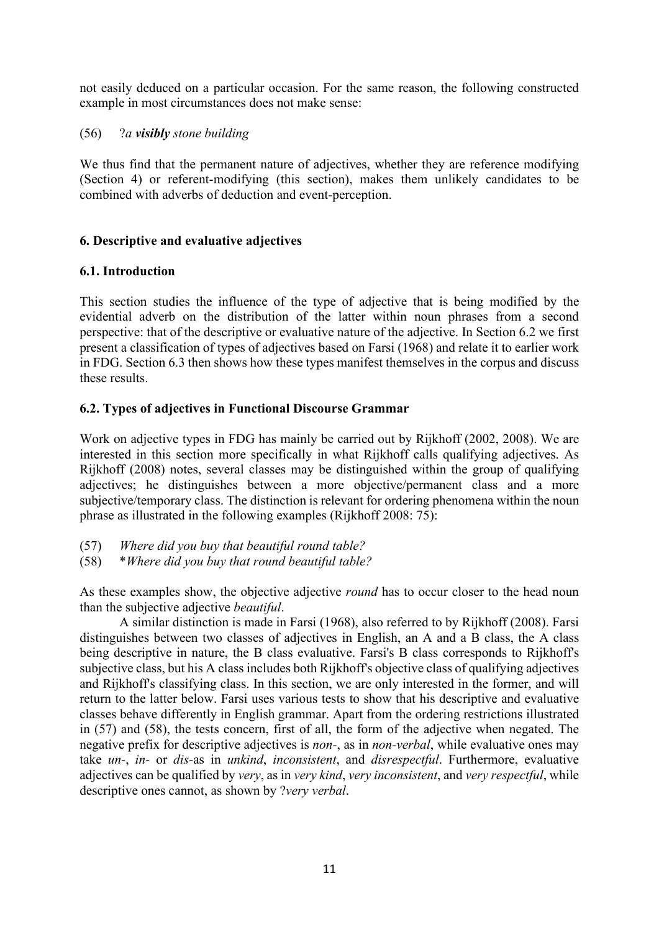not easily deduced on a particular occasion. For the same reason, the following constructed example in most circumstances does not make sense:

## (56) ?*a visibly stone building*

We thus find that the permanent nature of adjectives, whether they are reference modifying (Section 4) or referent-modifying (this section), makes them unlikely candidates to be combined with adverbs of deduction and event-perception.

# **6. Descriptive and evaluative adjectives**

## **6.1. Introduction**

This section studies the influence of the type of adjective that is being modified by the evidential adverb on the distribution of the latter within noun phrases from a second perspective: that of the descriptive or evaluative nature of the adjective. In Section 6.2 we first present a classification of types of adjectives based on Farsi (1968) and relate it to earlier work in FDG. Section 6.3 then shows how these types manifest themselves in the corpus and discuss these results.

# **6.2. Types of adjectives in Functional Discourse Grammar**

Work on adjective types in FDG has mainly be carried out by Rijkhoff (2002, 2008). We are interested in this section more specifically in what Rijkhoff calls qualifying adjectives. As Rijkhoff (2008) notes, several classes may be distinguished within the group of qualifying adjectives; he distinguishes between a more objective/permanent class and a more subjective/temporary class. The distinction is relevant for ordering phenomena within the noun phrase as illustrated in the following examples (Rijkhoff 2008: 75):

- (57) *Where did you buy that beautiful round table?*
- (58) \**Where did you buy that round beautiful table?*

As these examples show, the objective adjective *round* has to occur closer to the head noun than the subjective adjective *beautiful*.

A similar distinction is made in Farsi (1968), also referred to by Rijkhoff (2008). Farsi distinguishes between two classes of adjectives in English, an A and a B class, the A class being descriptive in nature, the B class evaluative. Farsi's B class corresponds to Rijkhoff's subjective class, but his A class includes both Rijkhoff's objective class of qualifying adjectives and Rijkhoff's classifying class. In this section, we are only interested in the former, and will return to the latter below. Farsi uses various tests to show that his descriptive and evaluative classes behave differently in English grammar. Apart from the ordering restrictions illustrated in (57) and (58), the tests concern, first of all, the form of the adjective when negated. The negative prefix for descriptive adjectives is *non-*, as in *non-verbal*, while evaluative ones may take *un-*, *in-* or *dis-*as in *unkind*, *inconsistent*, and *disrespectful*. Furthermore, evaluative adjectives can be qualified by *very*, as in *very kind*, *very inconsistent*, and *very respectful*, while descriptive ones cannot, as shown by ?*very verbal*.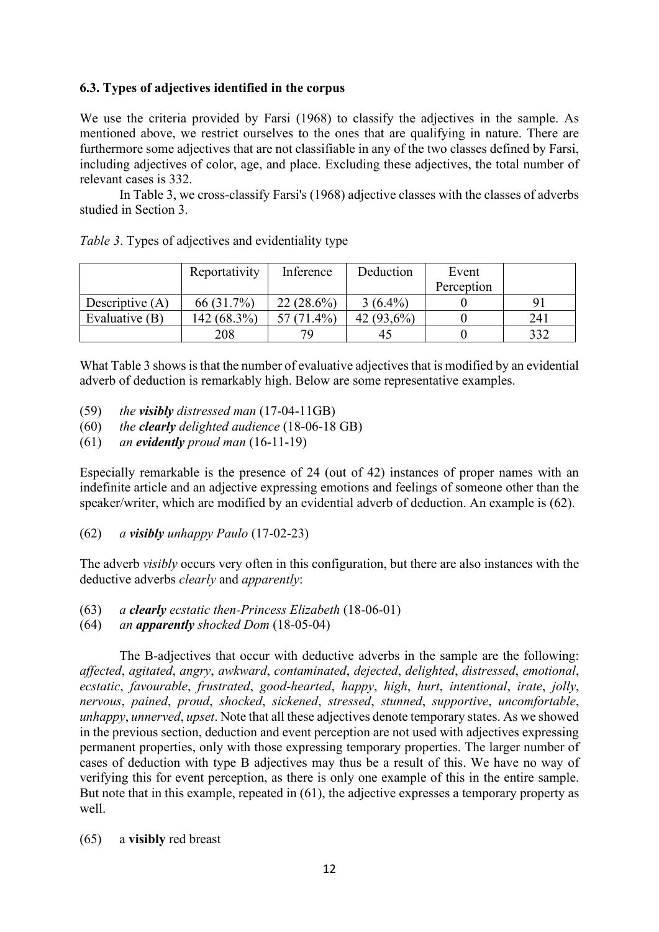## **6.3. Types of adjectives identified in the corpus**

We use the criteria provided by Farsi (1968) to classify the adjectives in the sample. As mentioned above, we restrict ourselves to the ones that are qualifying in nature. There are furthermore some adjectives that are not classifiable in any of the two classes defined by Farsi, including adjectives of color, age, and place. Excluding these adjectives, the total number of relevant cases is 332.

In Table 3, we cross-classify Farsi's (1968) adjective classes with the classes of adverbs studied in Section 3.

|                   | Reportativity | Inference    | Deduction     | Event      |     |
|-------------------|---------------|--------------|---------------|------------|-----|
|                   |               |              |               | Perception |     |
| Descriptive $(A)$ | 66 (31.7%)    | $22(28.6\%)$ | $3(6.4\%)$    |            |     |
| Evaluative $(B)$  | 142 (68.3%)   | $(71.4\%)$   | 42 $(93,6\%)$ |            | 241 |
|                   | 208           | 79           | 45            |            | 332 |

|  |  | Table 3. Types of adjectives and evidentiality type |
|--|--|-----------------------------------------------------|
|  |  |                                                     |

What Table 3 shows is that the number of evaluative adjectives that is modified by an evidential adverb of deduction is remarkably high. Below are some representative examples.

- (59) *the visibly distressed man* (17-04-11GB)
- (60) *the clearly delighted audience* (18-06-18 GB)
- (61) *an evidently proud man* (16-11-19)

Especially remarkable is the presence of 24 (out of 42) instances of proper names with an indefinite article and an adjective expressing emotions and feelings of someone other than the speaker/writer, which are modified by an evidential adverb of deduction. An example is (62).

(62) *a visibly unhappy Paulo* (17-02-23)

The adverb *visibly* occurs very often in this configuration, but there are also instances with the deductive adverbs *clearly* and *apparently*:

- (63) *a clearly ecstatic then-Princess Elizabeth* (18-06-01)
- (64) *an apparently shocked Dom* (18-05-04)

The B-adjectives that occur with deductive adverbs in the sample are the following: *affected*, *agitated*, *angry*, *awkward*, *contaminated*, *dejected*, *delighted*, *distressed*, *emotional*, *ecstatic*, *favourable*, *frustrated*, *good-hearted*, *happy*, *high*, *hurt*, *intentional*, *irate*, *jolly*, *nervous*, *pained*, *proud*, *shocked*, *sickened*, *stressed*, *stunned*, *supportive*, *uncomfortable*, *unhappy*, *unnerved*, *upset*. Note that all these adjectives denote temporary states. As we showed in the previous section, deduction and event perception are not used with adjectives expressing permanent properties, only with those expressing temporary properties. The larger number of cases of deduction with type B adjectives may thus be a result of this. We have no way of verifying this for event perception, as there is only one example of this in the entire sample. But note that in this example, repeated in (61), the adjective expresses a temporary property as well.

(65) a **visibly** red breast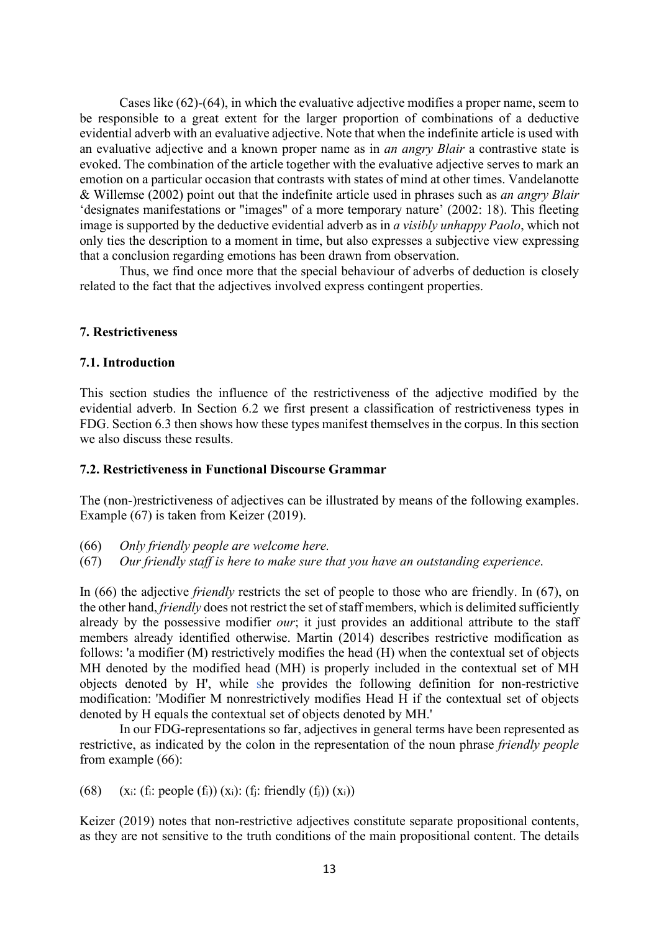Cases like (62)-(64), in which the evaluative adjective modifies a proper name, seem to be responsible to a great extent for the larger proportion of combinations of a deductive evidential adverb with an evaluative adjective. Note that when the indefinite article is used with an evaluative adjective and a known proper name as in *an angry Blair* a contrastive state is evoked. The combination of the article together with the evaluative adjective serves to mark an emotion on a particular occasion that contrasts with states of mind at other times. Vandelanotte & Willemse (2002) point out that the indefinite article used in phrases such as *an angry Blair* 'designates manifestations or "images" of a more temporary nature' (2002: 18). This fleeting image is supported by the deductive evidential adverb as in *a visibly unhappy Paolo*, which not only ties the description to a moment in time, but also expresses a subjective view expressing that a conclusion regarding emotions has been drawn from observation.

Thus, we find once more that the special behaviour of adverbs of deduction is closely related to the fact that the adjectives involved express contingent properties.

#### **7. Restrictiveness**

#### **7.1. Introduction**

This section studies the influence of the restrictiveness of the adjective modified by the evidential adverb. In Section 6.2 we first present a classification of restrictiveness types in FDG. Section 6.3 then shows how these types manifest themselves in the corpus. In this section we also discuss these results.

#### **7.2. Restrictiveness in Functional Discourse Grammar**

The (non-)restrictiveness of adjectives can be illustrated by means of the following examples. Example (67) is taken from Keizer (2019).

- (66) *Only friendly people are welcome here.*
- (67) *Our friendly staff is here to make sure that you have an outstanding experience*.

In (66) the adjective *friendly* restricts the set of people to those who are friendly. In (67), on the other hand, *friendly* does not restrict the set of staff members, which is delimited sufficiently already by the possessive modifier *our*; it just provides an additional attribute to the staff members already identified otherwise. Martin (2014) describes restrictive modification as follows: 'a modifier (M) restrictively modifies the head (H) when the contextual set of objects MH denoted by the modified head (MH) is properly included in the contextual set of MH objects denoted by H', while she provides the following definition for non-restrictive modification: 'Modifier M nonrestrictively modifies Head H if the contextual set of objects denoted by H equals the contextual set of objects denoted by MH.'

In our FDG-representations so far, adjectives in general terms have been represented as restrictive, as indicated by the colon in the representation of the noun phrase *friendly people* from example (66):

(68)  $(x_i: (f_i: people (f_i)) (x_i): (f_i: friendly (f_j)) (x_i))$ 

Keizer (2019) notes that non-restrictive adjectives constitute separate propositional contents, as they are not sensitive to the truth conditions of the main propositional content. The details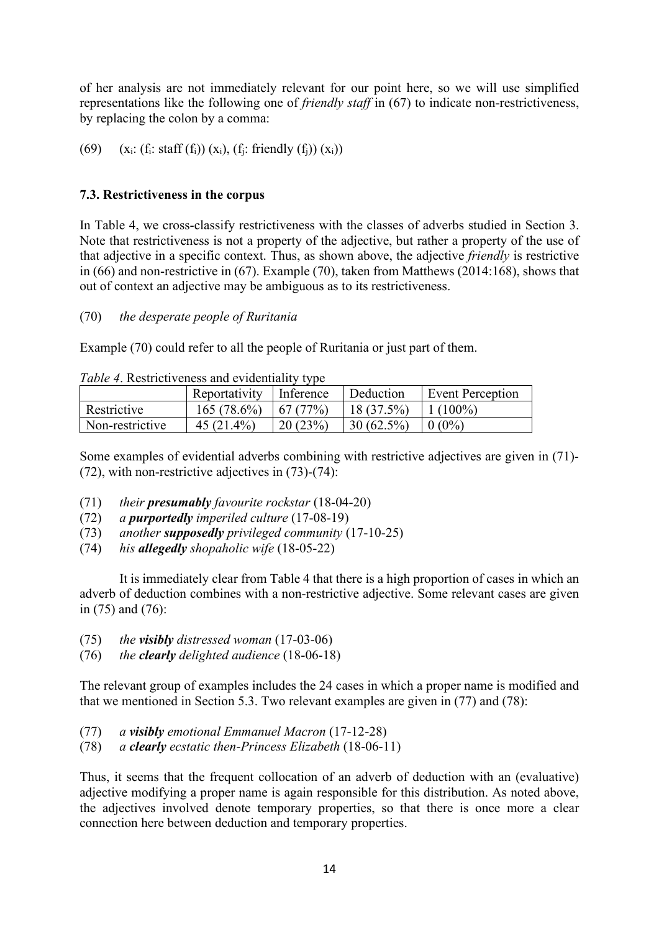of her analysis are not immediately relevant for our point here, so we will use simplified representations like the following one of *friendly staff* in (67) to indicate non-restrictiveness, by replacing the colon by a comma:

(69)  $(x_i: (f_i: \text{staff } (f_i)) (x_i), (f_i: \text{friendly } (f_i)) (x_i))$ 

# **7.3. Restrictiveness in the corpus**

In Table 4, we cross-classify restrictiveness with the classes of adverbs studied in Section 3. Note that restrictiveness is not a property of the adjective, but rather a property of the use of that adjective in a specific context. Thus, as shown above, the adjective *friendly* is restrictive in (66) and non-restrictive in (67). Example (70), taken from Matthews (2014:168), shows that out of context an adjective may be ambiguous as to its restrictiveness.

# (70) *the desperate people of Ruritania*

Example (70) could refer to all the people of Ruritania or just part of them.

| <i>Tuble 4.</i> Restrictiveness and evidentiality type |                         |          |              |                  |  |  |
|--------------------------------------------------------|-------------------------|----------|--------------|------------------|--|--|
|                                                        | Reportativity Inference |          | Deduction    | Event Perception |  |  |
| Restrictive                                            | 165(78.6%)              | 167(77%) | $18(37.5\%)$ | $1(100\%)$       |  |  |
| Non-restrictive                                        | $45(21.4\%)$            | 20(23%)  | $30(62.5\%)$ | $0(0\%)$         |  |  |

*Table 4*. Restrictiveness and evidentiality type

Some examples of evidential adverbs combining with restrictive adjectives are given in (71)- (72), with non-restrictive adjectives in (73)-(74):

- (71) *their presumably favourite rockstar* (18-04-20)
- (72) *a purportedly imperiled culture* (17-08-19)
- (73) *another supposedly privileged community* (17-10-25)
- (74) *his allegedly shopaholic wife* (18-05-22)

It is immediately clear from Table 4 that there is a high proportion of cases in which an adverb of deduction combines with a non-restrictive adjective. Some relevant cases are given in (75) and (76):

- (75) *the visibly distressed woman* (17-03-06)
- (76) *the clearly delighted audience* (18-06-18)

The relevant group of examples includes the 24 cases in which a proper name is modified and that we mentioned in Section 5.3. Two relevant examples are given in (77) and (78):

- (77) *a visibly emotional Emmanuel Macron* (17-12-28)
- (78) *a clearly ecstatic then-Princess Elizabeth* (18-06-11)

Thus, it seems that the frequent collocation of an adverb of deduction with an (evaluative) adjective modifying a proper name is again responsible for this distribution. As noted above, the adjectives involved denote temporary properties, so that there is once more a clear connection here between deduction and temporary properties.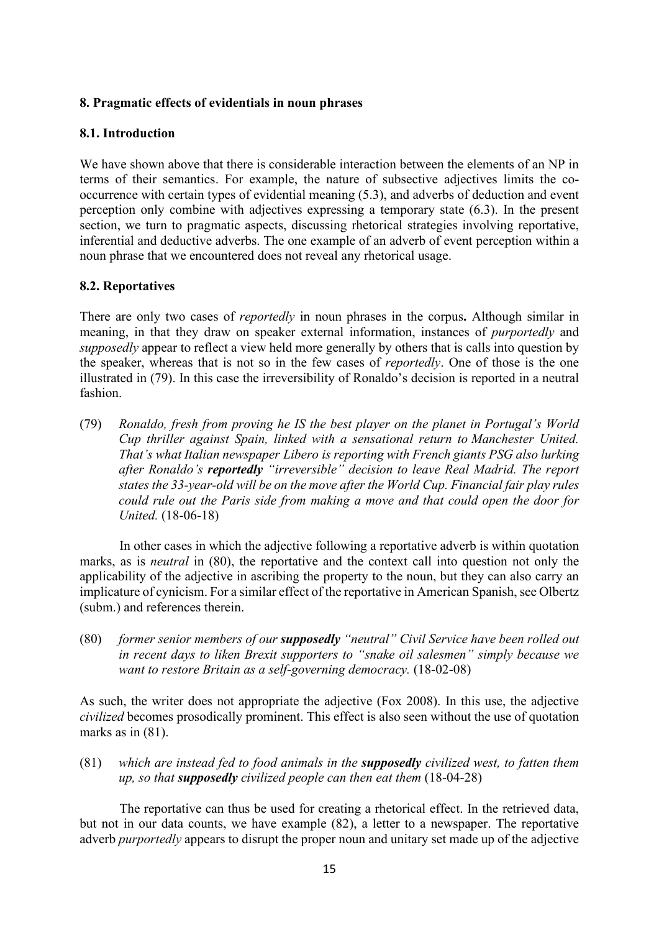## **8. Pragmatic effects of evidentials in noun phrases**

#### **8.1. Introduction**

We have shown above that there is considerable interaction between the elements of an NP in terms of their semantics. For example, the nature of subsective adjectives limits the cooccurrence with certain types of evidential meaning (5.3), and adverbs of deduction and event perception only combine with adjectives expressing a temporary state (6.3). In the present section, we turn to pragmatic aspects, discussing rhetorical strategies involving reportative, inferential and deductive adverbs. The one example of an adverb of event perception within a noun phrase that we encountered does not reveal any rhetorical usage.

## **8.2. Reportatives**

There are only two cases of *reportedly* in noun phrases in the corpus**.** Although similar in meaning, in that they draw on speaker external information, instances of *purportedly* and *supposedly* appear to reflect a view held more generally by others that is calls into question by the speaker, whereas that is not so in the few cases of *reportedly*. One of those is the one illustrated in (79). In this case the irreversibility of Ronaldo's decision is reported in a neutral fashion.

(79) *Ronaldo, fresh from proving he IS the best player on the planet in Portugal's World Cup thriller against Spain, linked with a sensational return to [Manchester United.](https://www.dailyrecord.co.uk/all-about/manchester-united-fc) That's what Italian newspaper [Libero](http://www.libero.it/) is reporting with French giants PSG also lurking after Ronaldo's reportedly "irreversible" decision to leave Real Madrid. The report states the 33-year-old will be on the move after the World Cup. Financial fair play rules could rule out the Paris side from making a move and that could open the door for United.* (18-06-18)

In other cases in which the adjective following a reportative adverb is within quotation marks, as is *neutral* in (80), the reportative and the context call into question not only the applicability of the adjective in ascribing the property to the noun, but they can also carry an implicature of cynicism. For a similar effect of the reportative in American Spanish, see Olbertz (subm.) and references therein.

(80) *former senior members of our supposedly "neutral" Civil Service have been rolled out in recent days to liken Brexit supporters to "snake oil salesmen" simply because we want to restore Britain as a self-governing democracy.* (18-02-08)

As such, the writer does not appropriate the adjective (Fox 2008). In this use, the adjective *civilized* becomes prosodically prominent. This effect is also seen without the use of quotation marks as in  $(81)$ .

(81) *which are instead fed to food animals in the supposedly civilized west, to fatten them up, so that supposedly civilized people can then eat them* (18-04-28)

The reportative can thus be used for creating a rhetorical effect. In the retrieved data, but not in our data counts, we have example (82), a letter to a newspaper. The reportative adverb *purportedly* appears to disrupt the proper noun and unitary set made up of the adjective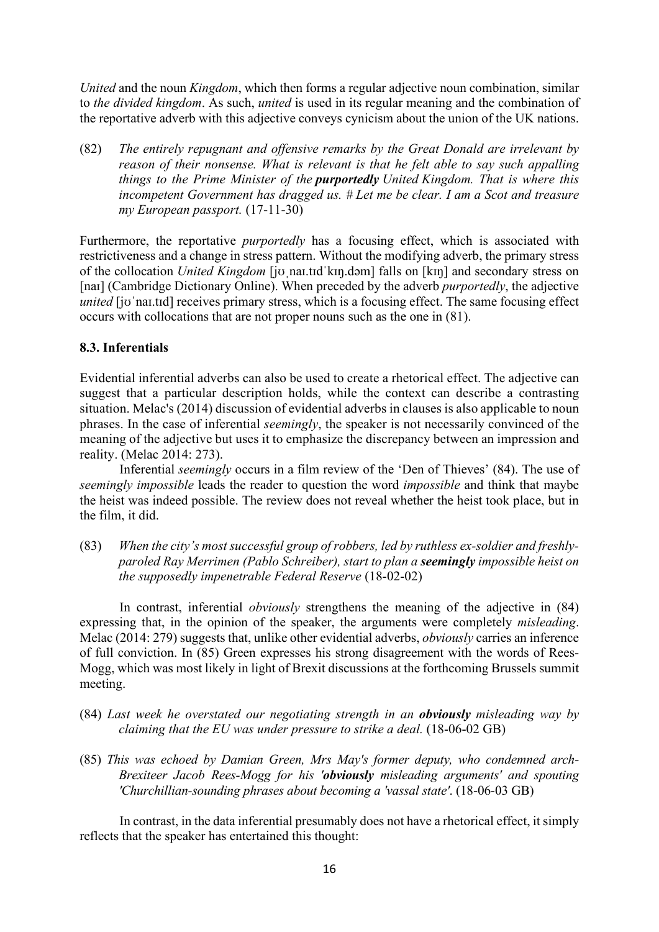*United* and the noun *Kingdom*, which then forms a regular adjective noun combination, similar to *the divided kingdom*. As such, *united* is used in its regular meaning and the combination of the reportative adverb with this adjective conveys cynicism about the union of the UK nations.

(82) *The entirely repugnant and offensive remarks by the Great Donald are irrelevant by reason of their nonsense. What is relevant is that he felt able to say such appalling things to the Prime Minister of the purportedly United Kingdom. That is where this incompetent Government has dragged us. # Let me be clear. I am a Scot and treasure my European passport.* (17-11-30)

Furthermore, the reportative *purportedly* has a focusing effect, which is associated with restrictiveness and a change in stress pattern. Without the modifying adverb, the primary stress of the collocation *United Kingdom* [jʊˌnaɪ.tɪdˈkɪŋ.dəm] falls on [kɪŋ] and secondary stress on [naɪ] (Cambridge Dictionary Online). When preceded by the adverb *purportedly*, the adjective *united* [jo'nai.tid] receives primary stress, which is a focusing effect. The same focusing effect occurs with collocations that are not proper nouns such as the one in (81).

# **8.3. Inferentials**

Evidential inferential adverbs can also be used to create a rhetorical effect. The adjective can suggest that a particular description holds, while the context can describe a contrasting situation. Melac's (2014) discussion of evidential adverbs in clauses is also applicable to noun phrases. In the case of inferential *seemingly*, the speaker is not necessarily convinced of the meaning of the adjective but uses it to emphasize the discrepancy between an impression and reality. (Melac 2014: 273).

Inferential *seemingly* occurs in a film review of the 'Den of Thieves' (84). The use of *seemingly impossible* leads the reader to question the word *impossible* and think that maybe the heist was indeed possible. The review does not reveal whether the heist took place, but in the film, it did.

(83) *When the city's most successful group of robbers, led by ruthless ex-soldier and freshlyparoled Ray Merrimen (Pablo Schreiber), start to plan a seemingly impossible heist on the supposedly impenetrable Federal Reserve* (18-02-02)

In contrast, inferential *obviously* strengthens the meaning of the adjective in (84) expressing that, in the opinion of the speaker, the arguments were completely *misleading*. Melac (2014: 279) suggests that, unlike other evidential adverbs, *obviously* carries an inference of full conviction. In (85) Green expresses his strong disagreement with the words of Rees-Mogg, which was most likely in light of Brexit discussions at the forthcoming Brussels summit meeting.

- (84) *Last week he overstated our negotiating strength in an obviously misleading way by claiming that the EU was under pressure to strike a deal.* (18-06-02 GB)
- (85) *This was echoed by Damian Green, Mrs May's former deputy, who condemned arch-Brexiteer Jacob Rees-Mogg for his 'obviously misleading arguments' and spouting 'Churchillian-sounding phrases about becoming a 'vassal state'*. (18-06-03 GB)

In contrast, in the data inferential presumably does not have a rhetorical effect, it simply reflects that the speaker has entertained this thought: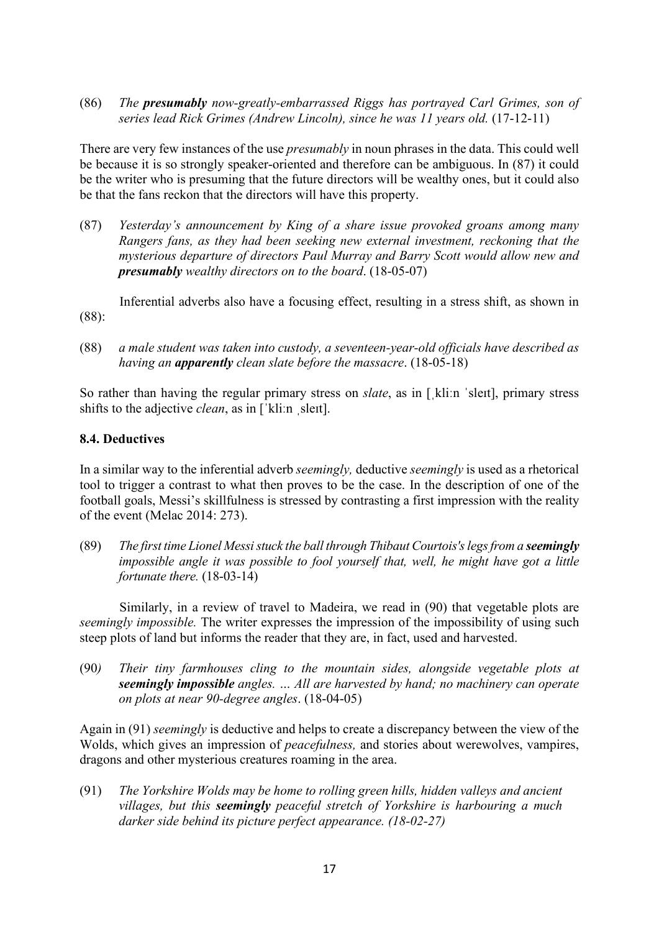(86) *The presumably now-greatly-embarrassed Riggs has portrayed Carl Grimes, son of series lead Rick Grimes (Andrew Lincoln), since he was 11 years old.* (17-12-11)

There are very few instances of the use *presumably* in noun phrases in the data. This could well be because it is so strongly speaker-oriented and therefore can be ambiguous. In (87) it could be the writer who is presuming that the future directors will be wealthy ones, but it could also be that the fans reckon that the directors will have this property.

(87) *Yesterday's announcement by King of a share issue provoked groans among many Rangers fans, as they had been seeking new external investment, reckoning that the mysterious departure of directors Paul Murray and Barry Scott would allow new and presumably wealthy directors on to the board*. (18-05-07)

Inferential adverbs also have a focusing effect, resulting in a stress shift, as shown in (88):

(88) *a male student was taken into custody, a seventeen-year-old officials have described as having an apparently clean slate before the massacre*. (18-05-18)

So rather than having the regular primary stress on *slate*, as in [kliːn ˈsleɪt], primary stress shifts to the adjective *clean*, as in [ˈkliːn ˌsleɪt].

## **8.4. Deductives**

In a similar way to the inferential adverb *seemingly,* deductive *seemingly* is used as a rhetorical tool to trigger a contrast to what then proves to be the case. In the description of one of the football goals, Messi's skillfulness is stressed by contrasting a first impression with the reality of the event (Melac 2014: 273).

(89) *The first time Lionel Messi stuck the ball through Thibaut Courtois's legs from a seemingly impossible angle it was possible to fool yourself that, well, he might have got a little fortunate there.* (18-03-14)

Similarly, in a review of travel to Madeira, we read in (90) that vegetable plots are *seemingly impossible.* The writer expresses the impression of the impossibility of using such steep plots of land but informs the reader that they are, in fact, used and harvested.

(90*) Their tiny farmhouses cling to the mountain sides, alongside vegetable plots at seemingly impossible angles. … All are harvested by hand; no machinery can operate on plots at near 90-degree angles*. (18-04-05)

Again in (91) *seemingly* is deductive and helps to create a discrepancy between the view of the Wolds, which gives an impression of *peacefulness,* and stories about werewolves, vampires, dragons and other mysterious creatures roaming in the area.

(91) *The Yorkshire Wolds may be home to rolling green hills, hidden valleys and ancient villages, but this seemingly peaceful stretch of Yorkshire is harbouring a much darker side behind its picture perfect appearance. (18-02-27)*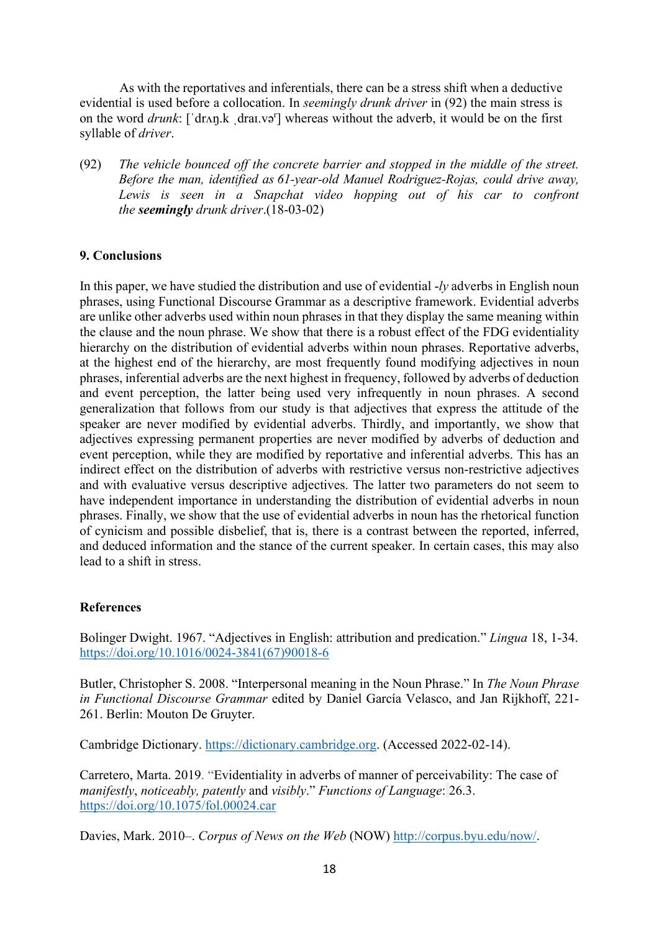As with the reportatives and inferentials, there can be a stress shift when a deductive evidential is used before a collocation. In *seemingly drunk driver* in (92) the main stress is on the word *drunk*: [ˈdrʌŋ.k ˌdraɪ.və<sup>r</sup> ] whereas without the adverb, it would be on the first syllable of *driver*.

(92) *The vehicle bounced off the concrete barrier and stopped in the middle of the street. Before the man, identified as 61-year-old Manuel Rodriguez-Rojas, could drive away, Lewis is seen in a Snapchat video hopping out of his car to confront the seemingly drunk driver*.(18-03-02)

#### **9. Conclusions**

In this paper, we have studied the distribution and use of evidential -*ly* adverbs in English noun phrases, using Functional Discourse Grammar as a descriptive framework. Evidential adverbs are unlike other adverbs used within noun phrases in that they display the same meaning within the clause and the noun phrase. We show that there is a robust effect of the FDG evidentiality hierarchy on the distribution of evidential adverbs within noun phrases. Reportative adverbs, at the highest end of the hierarchy, are most frequently found modifying adjectives in noun phrases, inferential adverbs are the next highest in frequency, followed by adverbs of deduction and event perception, the latter being used very infrequently in noun phrases. A second generalization that follows from our study is that adjectives that express the attitude of the speaker are never modified by evidential adverbs. Thirdly, and importantly, we show that adjectives expressing permanent properties are never modified by adverbs of deduction and event perception, while they are modified by reportative and inferential adverbs. This has an indirect effect on the distribution of adverbs with restrictive versus non-restrictive adjectives and with evaluative versus descriptive adjectives. The latter two parameters do not seem to have independent importance in understanding the distribution of evidential adverbs in noun phrases. Finally, we show that the use of evidential adverbs in noun has the rhetorical function of cynicism and possible disbelief, that is, there is a contrast between the reported, inferred, and deduced information and the stance of the current speaker. In certain cases, this may also lead to a shift in stress.

#### **References**

Bolinger Dwight. 1967. "Adjectives in English: attribution and predication." *Lingua* 18, 1-34. [https://doi.org/10.1016/0024-3841\(67\)90018-6](https://doi.org/10.1016/0024-3841(67)90018-6)

Butler, Christopher S. 2008. "Interpersonal meaning in the Noun Phrase." In *The Noun Phrase in Functional Discourse Grammar* edited by Daniel García Velasco, and Jan Rijkhoff, 221- 261. Berlin: Mouton De Gruyter.

Cambridge Dictionary. [https://dictionary.cambridge.org.](https://dictionary.cambridge.org/) (Accessed 2022-02-14).

Carretero, Marta. 2019. "Evidentiality in adverbs of manner of perceivability: The case of *manifestly*, *noticeably, patently* and *visibly*." *Functions of Language*: 26.3. <https://doi.org/10.1075/fol.00024.car>

Davies, Mark. 2010–. *Corpus of News on the Web* (NOW) [http://corpus.byu.edu/now/.](http://corpus.byu.edu/now/)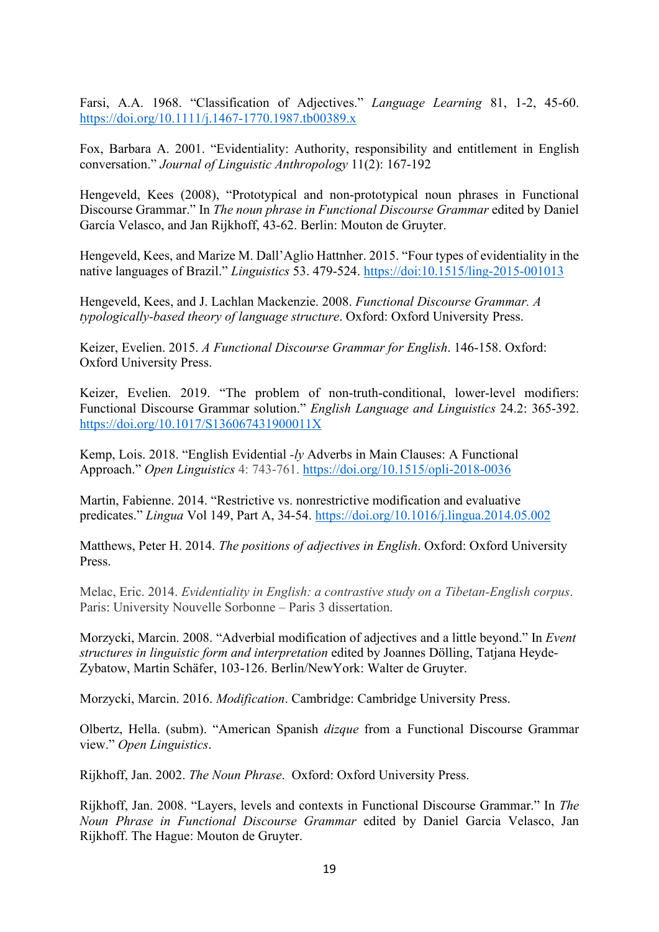Farsi, A.A. 1968. "Classification of Adjectives." *Language Learning* 81, 1-2, 45-60. <https://doi.org/10.1111/j.1467-1770.1987.tb00389.x>

Fox, Barbara A. 2001. "Evidentiality: Authority, responsibility and entitlement in English conversation." *Journal of Linguistic Anthropology* 11(2): 167-192

Hengeveld, Kees (2008), "Prototypical and non-prototypical noun phrases in Functional Discourse Grammar." In *The noun phrase in Functional Discourse Grammar* edited by Daniel García Velasco, and Jan Rijkhoff, 43-62. Berlin: Mouton de Gruyter.

Hengeveld, Kees, and Marize M. Dall'Aglio Hattnher. 2015. "Four types of evidentiality in the native languages of Brazil." *Linguistics* 53. 479-524.<https://doi:10.1515/ling-2015-001013>

Hengeveld, Kees, and J. Lachlan Mackenzie. 2008. *Functional Discourse Grammar. A typologically-based theory of language structure*. Oxford: Oxford University Press.

Keizer, Evelien. 2015. *A Functional Discourse Grammar for English*. 146-158. Oxford: Oxford University Press.

Keizer, Evelien. 2019. "The problem of non-truth-conditional, lower-level modifiers: Functional Discourse Grammar solution." *English Language and Linguistics* 24.2: 365-392. <https://doi.org/10.1017/S136067431900011X>

Kemp, Lois. 2018. "English Evidential *-ly* Adverbs in Main Clauses: A Functional Approach." *Open Linguistics* 4: 743-761. <https://doi.org/10.1515/opli-2018-0036>

Martin, Fabienne. 2014. "Restrictive vs. nonrestrictive modification and evaluative predicates." *Lingua* Vol 149, Part A, 34-54. <https://doi.org/10.1016/j.lingua.2014.05.002>

Matthews, Peter H. 2014. *The positions of adjectives in English*. Oxford: Oxford University Press.

Melac, Eric. 2014. *Evidentiality in English: a contrastive study on a Tibetan-English corpus*. Paris: University Nouvelle Sorbonne – Paris 3 dissertation.

Morzycki, Marcin. 2008. "Adverbial modification of adjectives and a little beyond." In *Event structures in linguistic form and interpretation* edited by Joannes Dölling, Tatjana Heyde-Zybatow, Martin Schäfer, 103-126. Berlin/NewYork: Walter de Gruyter.

Morzycki, Marcin. 2016. *Modification*. Cambridge: Cambridge University Press.

Olbertz, Hella. (subm). "American Spanish *dizque* from a Functional Discourse Grammar view." *Open Linguistics*.

Rijkhoff, Jan. 2002. *The Noun Phrase*. Oxford: Oxford University Press.

Rijkhoff, Jan. 2008. "Layers, levels and contexts in Functional Discourse Grammar." In *The Noun Phrase in Functional Discourse Grammar* edited by Daniel Garcia Velasco, Jan Rijkhoff. The Hague: Mouton de Gruyter.